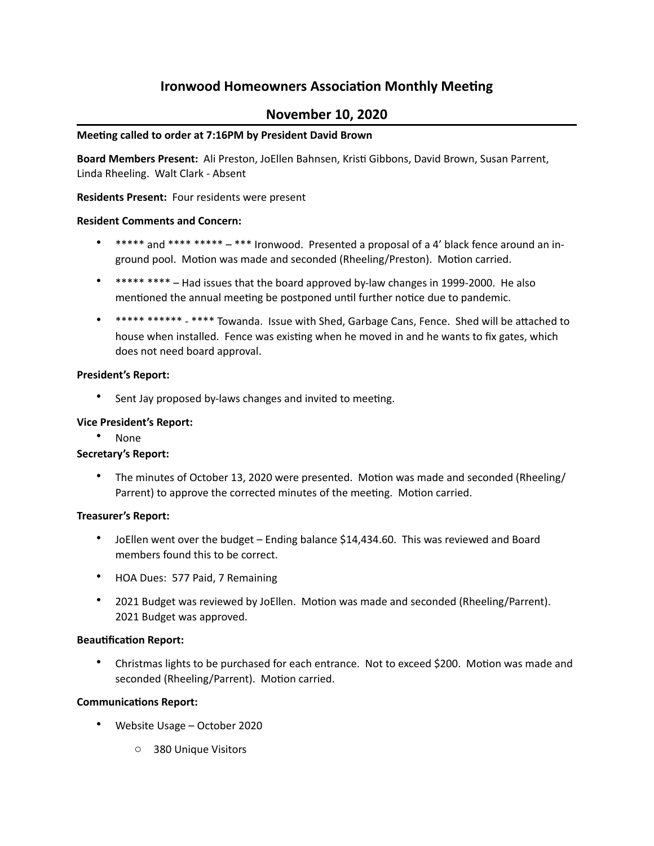# **Ironwood Homeowners Association Monthly Meeting**

# **November 10, 2020**

# **Meeting called to order at 7:16PM by President David Brown**

Board Members Present: Ali Preston, JoEllen Bahnsen, Kristi Gibbons, David Brown, Susan Parrent, Linda Rheeling. Walt Clark - Absent

**Residents Present:** Four residents were present

# **Resident Comments and Concern:**

- \*\*\*\*\* and \*\*\*\* \*\*\*\*\* \*\*\* Ironwood. Presented a proposal of a 4' black fence around an inground pool. Motion was made and seconded (Rheeling/Preston). Motion carried.
- \*\*\*\*\* \*\*\*\* Had issues that the board approved by-law changes in 1999-2000. He also mentioned the annual meeting be postponed until further notice due to pandemic.
- \*\*\*\*\* \*\*\*\*\*\* \*\*\*\* Towanda. Issue with Shed, Garbage Cans, Fence. Shed will be attached to house when installed. Fence was existing when he moved in and he wants to fix gates, which does not need board approval.

# **President's Report:**

• Sent Jay proposed by-laws changes and invited to meeting.

# **Vice President's Report:**

• None

# **Secretary's Report:**

• The minutes of October 13, 2020 were presented. Motion was made and seconded (Rheeling/ Parrent) to approve the corrected minutes of the meeting. Motion carried.

# **Treasurer's Report:**

- JoEllen went over the budget Ending balance \$14,434.60. This was reviewed and Board members found this to be correct.
- HOA Dues: 577 Paid, 7 Remaining
- 2021 Budget was reviewed by JoEllen. Motion was made and seconded (Rheeling/Parrent). 2021 Budget was approved.

# **Beautification Report:**

• Christmas lights to be purchased for each entrance. Not to exceed \$200. Motion was made and seconded (Rheeling/Parrent). Motion carried.

# **Communications Report:**

- Website Usage October 2020
	- o 380 Unique Visitors